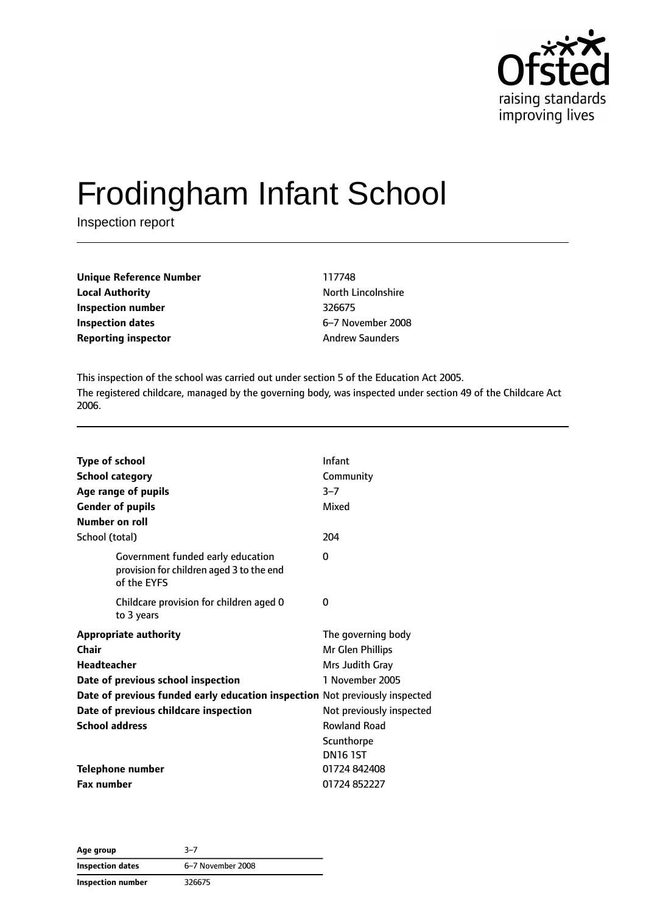

# Frodingham Infant School

Inspection report

| <b>Unique Reference Number</b> | 117748  |
|--------------------------------|---------|
| <b>Local Authority</b>         | North L |
| Inspection number              | 326675  |
| Inspection dates               | 6–7 No  |
| <b>Reporting inspector</b>     | Andrew  |

**North Lincolnshire Inspection dates** 6–7 November 2008 **Andrew Saunders** 

This inspection of the school was carried out under section 5 of the Education Act 2005. The registered childcare, managed by the governing body, was inspected under section 49 of the Childcare Act 2006.

| <b>Type of school</b><br><b>School category</b><br><b>Gender of pupils</b><br>Number on roll | Age range of pupils                                                                          | Infant<br>Community<br>$3 - 7$<br>Mixed |
|----------------------------------------------------------------------------------------------|----------------------------------------------------------------------------------------------|-----------------------------------------|
| School (total)                                                                               |                                                                                              | 204                                     |
|                                                                                              | Government funded early education<br>provision for children aged 3 to the end<br>of the EYFS | 0                                       |
|                                                                                              | Childcare provision for children aged 0<br>to 3 years                                        | 0                                       |
| Chair                                                                                        | <b>Appropriate authority</b>                                                                 | The governing body<br>Mr Glen Phillips  |
| Headteacher                                                                                  |                                                                                              | Mrs Judith Gray                         |
|                                                                                              | Date of previous school inspection                                                           | 1 November 2005                         |
|                                                                                              | Date of previous funded early education inspection Not previously inspected                  |                                         |
|                                                                                              | Date of previous childcare inspection                                                        | Not previously inspected                |
| <b>School address</b>                                                                        |                                                                                              | <b>Rowland Road</b>                     |
|                                                                                              |                                                                                              | Scunthorpe                              |
|                                                                                              |                                                                                              | <b>DN16 1ST</b>                         |
|                                                                                              | Telephone number                                                                             | 01724 842408                            |
| <b>Fax number</b>                                                                            |                                                                                              | 01724852227                             |

**Age group** 3–7 **Inspection dates** 6–7 November 2008 **Inspection number** 326675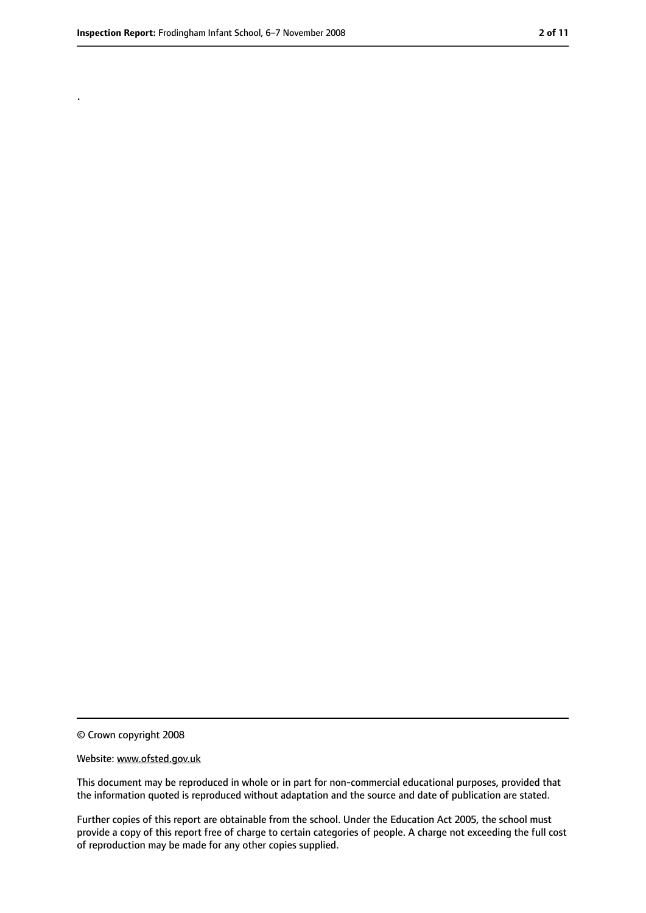.

<sup>©</sup> Crown copyright 2008

Website: www.ofsted.gov.uk

This document may be reproduced in whole or in part for non-commercial educational purposes, provided that the information quoted is reproduced without adaptation and the source and date of publication are stated.

Further copies of this report are obtainable from the school. Under the Education Act 2005, the school must provide a copy of this report free of charge to certain categories of people. A charge not exceeding the full cost of reproduction may be made for any other copies supplied.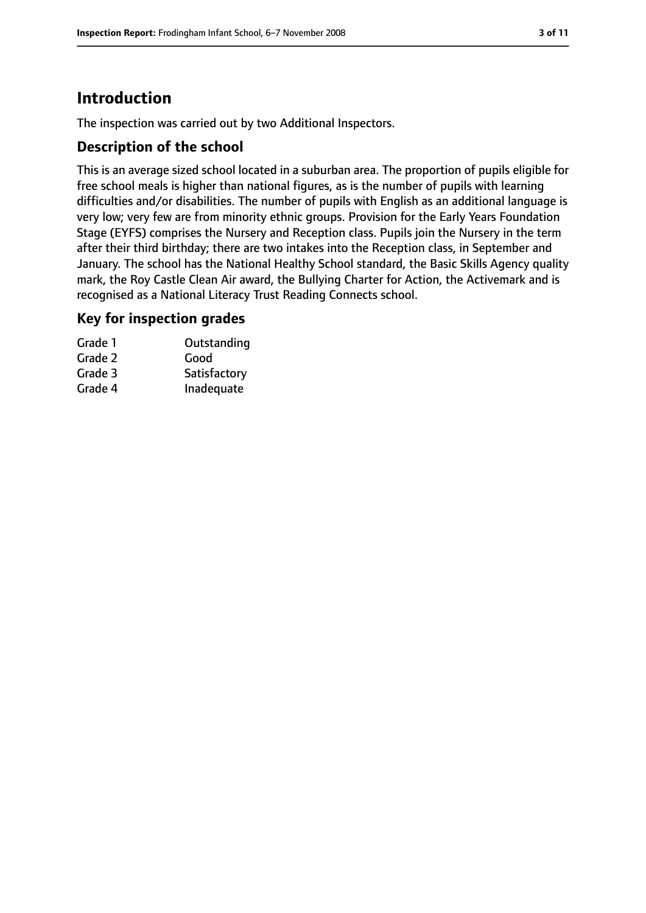# **Introduction**

The inspection was carried out by two Additional Inspectors.

### **Description of the school**

This is an average sized school located in a suburban area. The proportion of pupils eligible for free school meals is higher than national figures, as is the number of pupils with learning difficulties and/or disabilities. The number of pupils with English as an additional language is very low; very few are from minority ethnic groups. Provision for the Early Years Foundation Stage (EYFS) comprises the Nursery and Reception class. Pupils join the Nursery in the term after their third birthday; there are two intakes into the Reception class, in September and January. The school has the National Healthy School standard, the Basic Skills Agency quality mark, the Roy Castle Clean Air award, the Bullying Charter for Action, the Activemark and is recognised as a National Literacy Trust Reading Connects school.

#### **Key for inspection grades**

| Grade 1 | Outstanding  |
|---------|--------------|
| Grade 2 | Good         |
| Grade 3 | Satisfactory |
| Grade 4 | Inadequate   |
|         |              |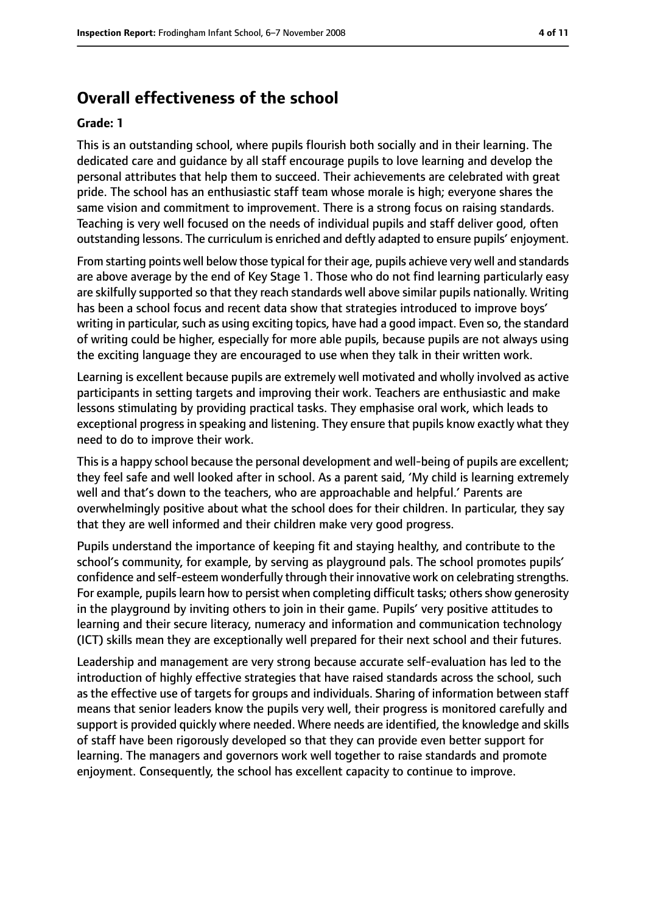# **Overall effectiveness of the school**

#### **Grade: 1**

This is an outstanding school, where pupils flourish both socially and in their learning. The dedicated care and guidance by all staff encourage pupils to love learning and develop the personal attributes that help them to succeed. Their achievements are celebrated with great pride. The school has an enthusiastic staff team whose morale is high; everyone shares the same vision and commitment to improvement. There is a strong focus on raising standards. Teaching is very well focused on the needs of individual pupils and staff deliver good, often outstanding lessons. The curriculum is enriched and deftly adapted to ensure pupils' enjoyment.

From starting points well below those typical for their age, pupils achieve very well and standards are above average by the end of Key Stage 1. Those who do not find learning particularly easy are skilfully supported so that they reach standards well above similar pupils nationally. Writing has been a school focus and recent data show that strategies introduced to improve boys' writing in particular, such as using exciting topics, have had a good impact. Even so, the standard of writing could be higher, especially for more able pupils, because pupils are not always using the exciting language they are encouraged to use when they talk in their written work.

Learning is excellent because pupils are extremely well motivated and wholly involved as active participants in setting targets and improving their work. Teachers are enthusiastic and make lessons stimulating by providing practical tasks. They emphasise oral work, which leads to exceptional progress in speaking and listening. They ensure that pupils know exactly what they need to do to improve their work.

This is a happy school because the personal development and well-being of pupils are excellent; they feel safe and well looked after in school. As a parent said, 'My child is learning extremely well and that's down to the teachers, who are approachable and helpful.' Parents are overwhelmingly positive about what the school does for their children. In particular, they say that they are well informed and their children make very good progress.

Pupils understand the importance of keeping fit and staying healthy, and contribute to the school's community, for example, by serving as playground pals. The school promotes pupils' confidence and self-esteem wonderfully through their innovative work on celebrating strengths. For example, pupils learn how to persist when completing difficult tasks; others show generosity in the playground by inviting others to join in their game. Pupils' very positive attitudes to learning and their secure literacy, numeracy and information and communication technology (ICT) skills mean they are exceptionally well prepared for their next school and their futures.

Leadership and management are very strong because accurate self-evaluation has led to the introduction of highly effective strategies that have raised standards across the school, such as the effective use of targets for groups and individuals. Sharing of information between staff means that senior leaders know the pupils very well, their progress is monitored carefully and support is provided quickly where needed. Where needs are identified, the knowledge and skills of staff have been rigorously developed so that they can provide even better support for learning. The managers and governors work well together to raise standards and promote enjoyment. Consequently, the school has excellent capacity to continue to improve.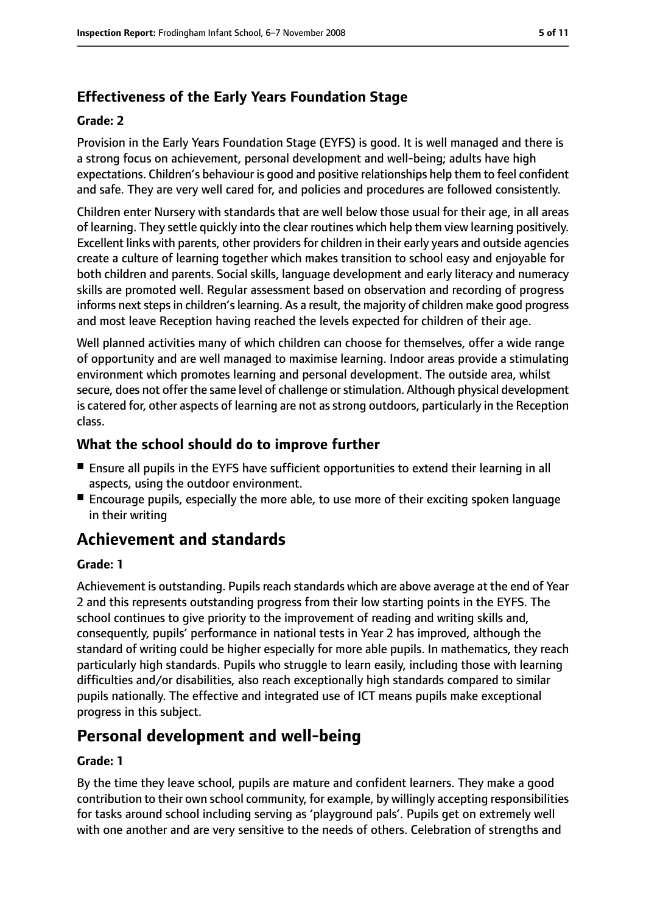# **Effectiveness of the Early Years Foundation Stage**

#### **Grade: 2**

Provision in the Early Years Foundation Stage (EYFS) is good. It is well managed and there is a strong focus on achievement, personal development and well-being; adults have high expectations. Children's behaviour is good and positive relationships help them to feel confident and safe. They are very well cared for, and policies and procedures are followed consistently.

Children enter Nursery with standards that are well below those usual for their age, in all areas of learning. They settle quickly into the clear routines which help them view learning positively. Excellent links with parents, other providers for children in their early years and outside agencies create a culture of learning together which makes transition to school easy and enjoyable for both children and parents. Social skills, language development and early literacy and numeracy skills are promoted well. Regular assessment based on observation and recording of progress informs next steps in children's learning. As a result, the majority of children make good progress and most leave Reception having reached the levels expected for children of their age.

Well planned activities many of which children can choose for themselves, offer a wide range of opportunity and are well managed to maximise learning. Indoor areas provide a stimulating environment which promotes learning and personal development. The outside area, whilst secure, does not offer the same level of challenge or stimulation. Although physical development is catered for, other aspects of learning are not as strong outdoors, particularly in the Reception class.

#### **What the school should do to improve further**

- Ensure all pupils in the EYFS have sufficient opportunities to extend their learning in all aspects, using the outdoor environment.
- Encourage pupils, especially the more able, to use more of their exciting spoken language in their writing

# **Achievement and standards**

#### **Grade: 1**

Achievement is outstanding. Pupils reach standards which are above average at the end of Year 2 and this represents outstanding progress from their low starting points in the EYFS. The school continues to give priority to the improvement of reading and writing skills and, consequently, pupils' performance in national tests in Year 2 has improved, although the standard of writing could be higher especially for more able pupils. In mathematics, they reach particularly high standards. Pupils who struggle to learn easily, including those with learning difficulties and/or disabilities, also reach exceptionally high standards compared to similar pupils nationally. The effective and integrated use of ICT means pupils make exceptional progress in this subject.

# **Personal development and well-being**

#### **Grade: 1**

By the time they leave school, pupils are mature and confident learners. They make a good contribution to their own school community, for example, by willingly accepting responsibilities for tasks around school including serving as 'playground pals'. Pupils get on extremely well with one another and are very sensitive to the needs of others. Celebration of strengths and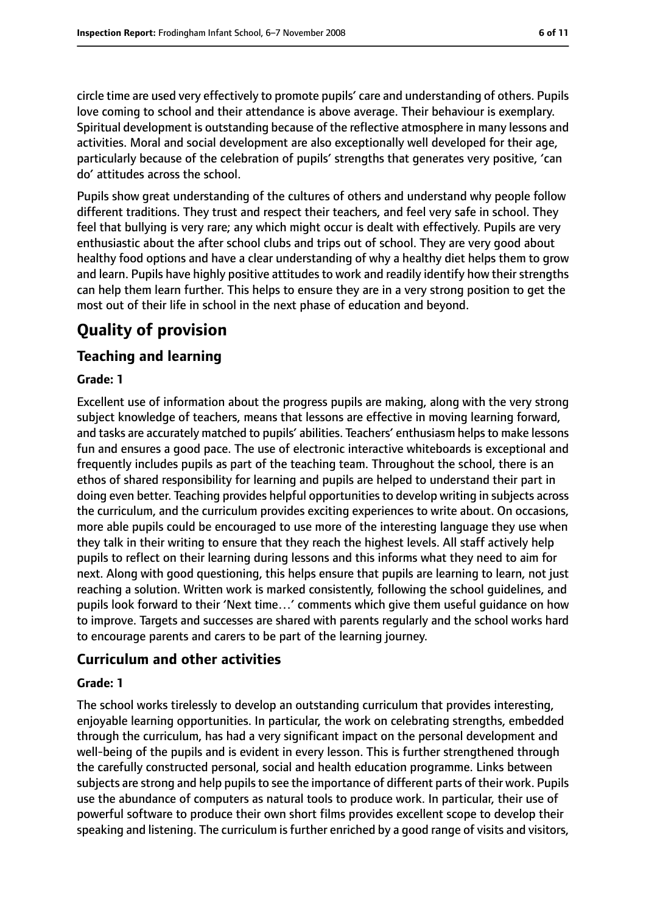circle time are used very effectively to promote pupils' care and understanding of others. Pupils love coming to school and their attendance is above average. Their behaviour is exemplary. Spiritual development is outstanding because of the reflective atmosphere in many lessons and activities. Moral and social development are also exceptionally well developed for their age, particularly because of the celebration of pupils' strengths that generates very positive, 'can do' attitudes across the school.

Pupils show great understanding of the cultures of others and understand why people follow different traditions. They trust and respect their teachers, and feel very safe in school. They feel that bullying is very rare; any which might occur is dealt with effectively. Pupils are very enthusiastic about the after school clubs and trips out of school. They are very good about healthy food options and have a clear understanding of why a healthy diet helps them to grow and learn. Pupils have highly positive attitudes to work and readily identify how their strengths can help them learn further. This helps to ensure they are in a very strong position to get the most out of their life in school in the next phase of education and beyond.

# **Quality of provision**

# **Teaching and learning**

#### **Grade: 1**

Excellent use of information about the progress pupils are making, along with the very strong subject knowledge of teachers, means that lessons are effective in moving learning forward, and tasks are accurately matched to pupils' abilities. Teachers' enthusiasm helpsto make lessons fun and ensures a good pace. The use of electronic interactive whiteboards is exceptional and frequently includes pupils as part of the teaching team. Throughout the school, there is an ethos of shared responsibility for learning and pupils are helped to understand their part in doing even better. Teaching provides helpful opportunities to develop writing in subjects across the curriculum, and the curriculum provides exciting experiences to write about. On occasions, more able pupils could be encouraged to use more of the interesting language they use when they talk in their writing to ensure that they reach the highest levels. All staff actively help pupils to reflect on their learning during lessons and this informs what they need to aim for next. Along with good questioning, this helps ensure that pupils are learning to learn, not just reaching a solution. Written work is marked consistently, following the school guidelines, and pupils look forward to their 'Next time…' comments which give them useful guidance on how to improve. Targets and successes are shared with parents regularly and the school works hard to encourage parents and carers to be part of the learning journey.

## **Curriculum and other activities**

#### **Grade: 1**

The school works tirelessly to develop an outstanding curriculum that provides interesting, enjoyable learning opportunities. In particular, the work on celebrating strengths, embedded through the curriculum, has had a very significant impact on the personal development and well-being of the pupils and is evident in every lesson. This is further strengthened through the carefully constructed personal, social and health education programme. Links between subjects are strong and help pupils to see the importance of different parts of their work. Pupils use the abundance of computers as natural tools to produce work. In particular, their use of powerful software to produce their own short films provides excellent scope to develop their speaking and listening. The curriculum is further enriched by a good range of visits and visitors,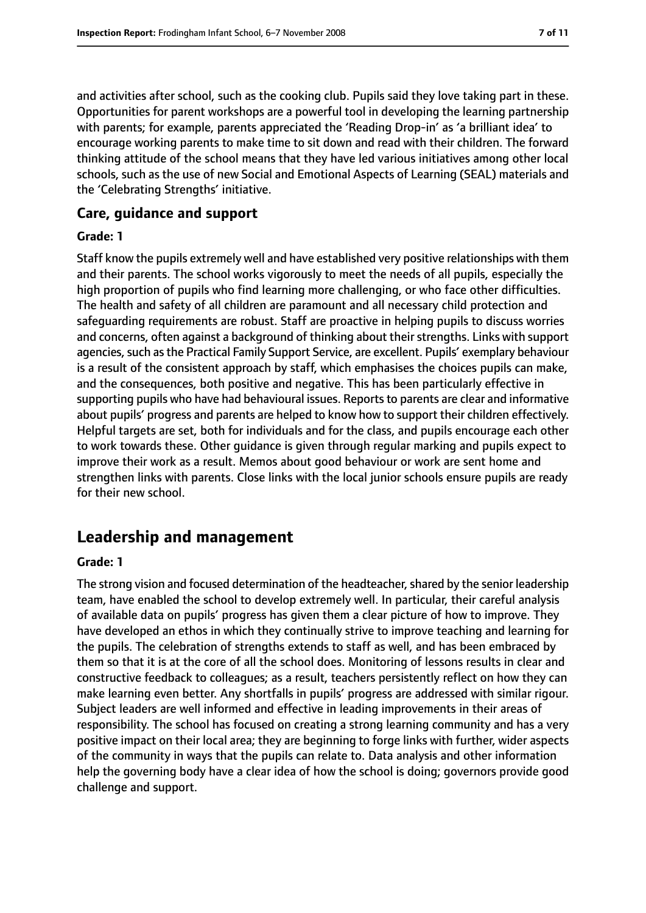and activities after school, such as the cooking club. Pupils said they love taking part in these. Opportunities for parent workshops are a powerful tool in developing the learning partnership with parents; for example, parents appreciated the 'Reading Drop-in' as 'a brilliant idea' to encourage working parents to make time to sit down and read with their children. The forward thinking attitude of the school means that they have led various initiatives among other local schools, such as the use of new Social and Emotional Aspects of Learning (SEAL) materials and the 'Celebrating Strengths' initiative.

#### **Care, guidance and support**

#### **Grade: 1**

Staff know the pupils extremely well and have established very positive relationships with them and their parents. The school works vigorously to meet the needs of all pupils, especially the high proportion of pupils who find learning more challenging, or who face other difficulties. The health and safety of all children are paramount and all necessary child protection and safeguarding requirements are robust. Staff are proactive in helping pupils to discuss worries and concerns, often against a background of thinking about their strengths. Links with support agencies, such as the Practical Family Support Service, are excellent. Pupils' exemplary behaviour is a result of the consistent approach by staff, which emphasises the choices pupils can make, and the consequences, both positive and negative. This has been particularly effective in supporting pupils who have had behavioural issues. Reports to parents are clear and informative about pupils' progress and parents are helped to know how to support their children effectively. Helpful targets are set, both for individuals and for the class, and pupils encourage each other to work towards these. Other guidance is given through regular marking and pupils expect to improve their work as a result. Memos about good behaviour or work are sent home and strengthen links with parents. Close links with the local junior schools ensure pupils are ready for their new school.

# **Leadership and management**

#### **Grade: 1**

The strong vision and focused determination of the headteacher, shared by the senior leadership team, have enabled the school to develop extremely well. In particular, their careful analysis of available data on pupils' progress has given them a clear picture of how to improve. They have developed an ethos in which they continually strive to improve teaching and learning for the pupils. The celebration of strengths extends to staff as well, and has been embraced by them so that it is at the core of all the school does. Monitoring of lessons results in clear and constructive feedback to colleagues; as a result, teachers persistently reflect on how they can make learning even better. Any shortfalls in pupils' progress are addressed with similar rigour. Subject leaders are well informed and effective in leading improvements in their areas of responsibility. The school has focused on creating a strong learning community and has a very positive impact on their local area; they are beginning to forge links with further, wider aspects of the community in ways that the pupils can relate to. Data analysis and other information help the governing body have a clear idea of how the school is doing; governors provide good challenge and support.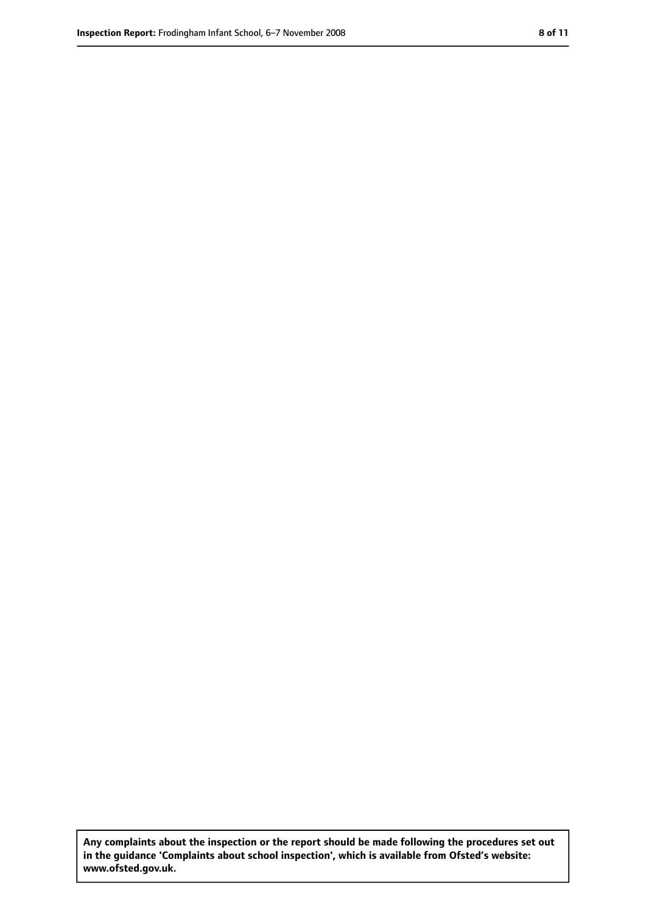**Any complaints about the inspection or the report should be made following the procedures set out in the guidance 'Complaints about school inspection', which is available from Ofsted's website: www.ofsted.gov.uk.**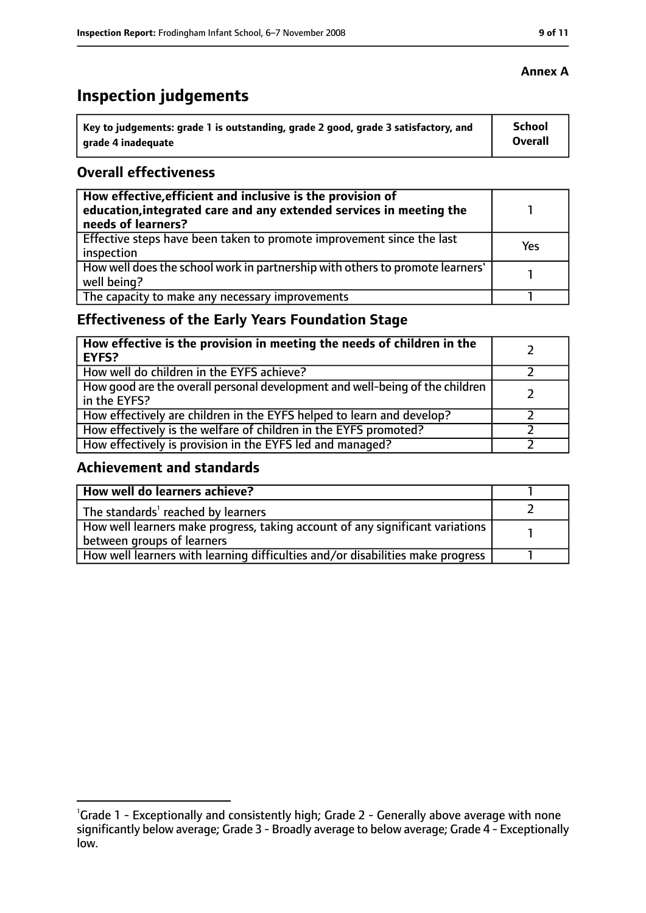# **Inspection judgements**

| Key to judgements: grade 1 is outstanding, grade 2 good, grade 3 satisfactory, and | <b>School</b>  |
|------------------------------------------------------------------------------------|----------------|
| arade 4 inadequate                                                                 | <b>Overall</b> |

## **Overall effectiveness**

| How effective, efficient and inclusive is the provision of<br>education, integrated care and any extended services in meeting the<br>needs of learners? |     |
|---------------------------------------------------------------------------------------------------------------------------------------------------------|-----|
| Effective steps have been taken to promote improvement since the last<br>inspection                                                                     | Yes |
| How well does the school work in partnership with others to promote learners'<br>well being?                                                            |     |
| The capacity to make any necessary improvements                                                                                                         |     |

# **Effectiveness of the Early Years Foundation Stage**

| How effective is the provision in meeting the needs of children in the<br><b>EYFS?</b>       |  |
|----------------------------------------------------------------------------------------------|--|
| How well do children in the EYFS achieve?                                                    |  |
| How good are the overall personal development and well-being of the children<br>in the EYFS? |  |
| How effectively are children in the EYFS helped to learn and develop?                        |  |
| How effectively is the welfare of children in the EYFS promoted?                             |  |
| How effectively is provision in the EYFS led and managed?                                    |  |

## **Achievement and standards**

| How well do learners achieve?                                                  |  |
|--------------------------------------------------------------------------------|--|
| The standards <sup>1</sup> reached by learners                                 |  |
| How well learners make progress, taking account of any significant variations  |  |
| between groups of learners                                                     |  |
| How well learners with learning difficulties and/or disabilities make progress |  |

#### **Annex A**

<sup>&</sup>lt;sup>1</sup>Grade 1 - Exceptionally and consistently high; Grade 2 - Generally above average with none significantly below average; Grade 3 - Broadly average to below average; Grade 4 - Exceptionally low.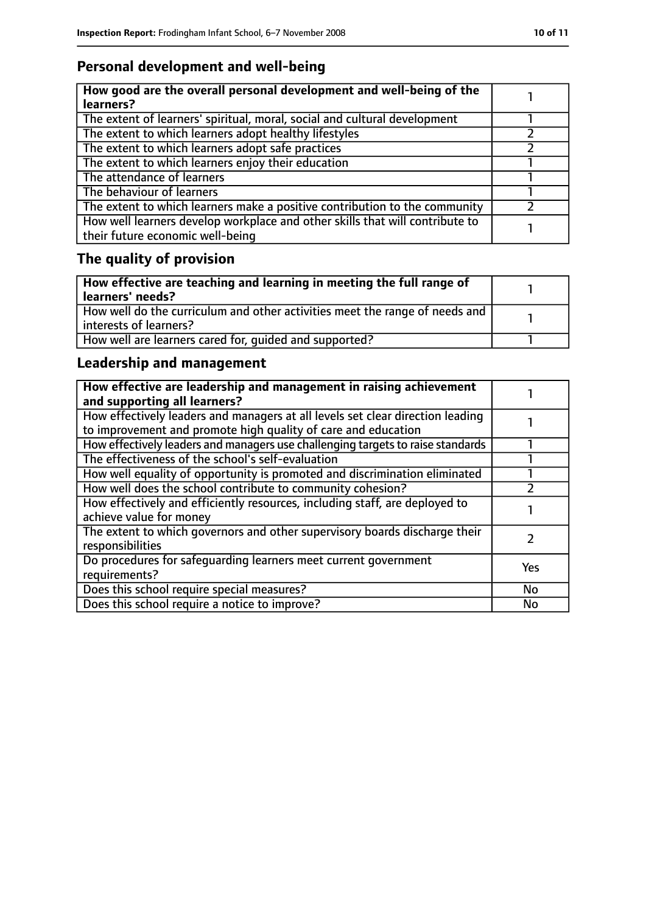# **Personal development and well-being**

| How good are the overall personal development and well-being of the<br>learners?                                 |  |
|------------------------------------------------------------------------------------------------------------------|--|
| The extent of learners' spiritual, moral, social and cultural development                                        |  |
| The extent to which learners adopt healthy lifestyles                                                            |  |
| The extent to which learners adopt safe practices                                                                |  |
| The extent to which learners enjoy their education                                                               |  |
| The attendance of learners                                                                                       |  |
| The behaviour of learners                                                                                        |  |
| The extent to which learners make a positive contribution to the community                                       |  |
| How well learners develop workplace and other skills that will contribute to<br>their future economic well-being |  |

# **The quality of provision**

| $\mid$ How effective are teaching and learning in meeting the full range of<br>  learners' needs?       |  |
|---------------------------------------------------------------------------------------------------------|--|
| How well do the curriculum and other activities meet the range of needs and<br>  interests of learners? |  |
| How well are learners cared for, quided and supported?                                                  |  |

# **Leadership and management**

| How effective are leadership and management in raising achievement<br>and supporting all learners?                                              |            |
|-------------------------------------------------------------------------------------------------------------------------------------------------|------------|
| How effectively leaders and managers at all levels set clear direction leading<br>to improvement and promote high quality of care and education |            |
| How effectively leaders and managers use challenging targets to raise standards                                                                 |            |
| The effectiveness of the school's self-evaluation                                                                                               |            |
| How well equality of opportunity is promoted and discrimination eliminated                                                                      |            |
| How well does the school contribute to community cohesion?                                                                                      |            |
| How effectively and efficiently resources, including staff, are deployed to<br>achieve value for money                                          |            |
| The extent to which governors and other supervisory boards discharge their<br>responsibilities                                                  |            |
| Do procedures for safequarding learners meet current government<br>requirements?                                                                | <b>Yes</b> |
| Does this school require special measures?                                                                                                      | <b>No</b>  |
| Does this school require a notice to improve?                                                                                                   | No         |